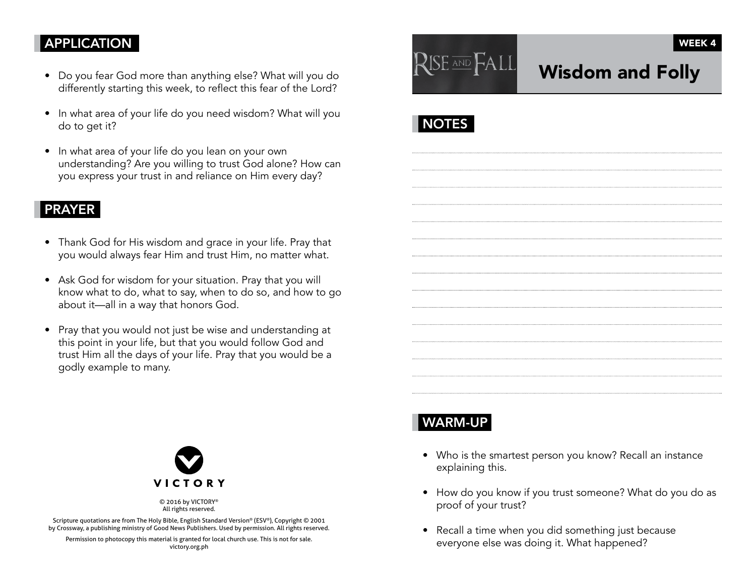## APPLICATION

- Do you fear God more than anything else? What will you do differently starting this week, to reflect this fear of the Lord?
- In what area of your life do you need wisdom? What will you do to get it?
- In what area of your life do you lean on your own understanding? Are you willing to trust God alone? How can you express your trust in and reliance on Him every day?

#### PRAYER

- Thank God for His wisdom and grace in your life. Pray that you would always fear Him and trust Him, no matter what.
- Ask God for wisdom for your situation. Pray that you will know what to do, what to say, when to do so, and how to go about it—all in a way that honors God.
- Pray that you would not just be wise and understanding at this point in your life, but that you would follow God and trust Him all the days of your life. Pray that you would be a godly example to many.

| <b>RISE AND FALL</b><br><b>Wisdor</b> |
|---------------------------------------|
|---------------------------------------|

# m and Folly

WEEK 4

## **NOTES**



© 2016 by VICTORY® All rights reserved.

Scripture quotations are from The Holy Bible, English Standard Version® (ESV®), Copyright © 2001 by Crossway, a publishing ministry of Good News Publishers. Used by permission. All rights reserved.

Permission to photocopy this material is granted for local church use. This is not for sale. victory.org.ph

## WARM-UP

- Who is the smartest person you know? Recall an instance explaining this.
- How do you know if you trust someone? What do you do as proof of your trust?
- Recall a time when you did something just because everyone else was doing it. What happened?